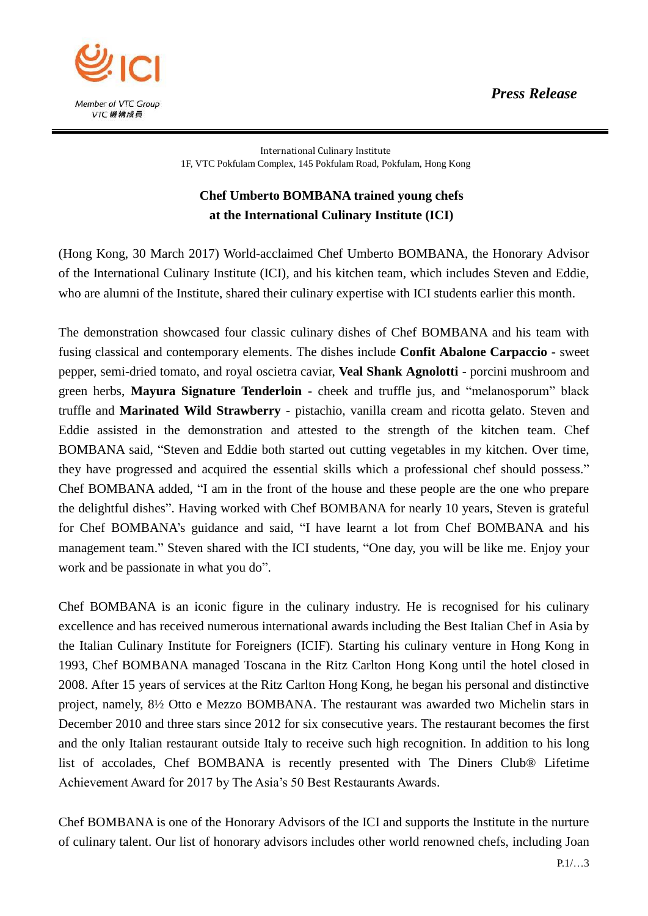*Press Release*



International Culinary Institute 1F, VTC Pokfulam Complex, 145 Pokfulam Road, Pokfulam, Hong Kong

## **Chef Umberto BOMBANA trained young chefs at the International Culinary Institute (ICI)**

(Hong Kong, 30 March 2017) World-acclaimed Chef Umberto BOMBANA, the Honorary Advisor of the International Culinary Institute (ICI), and his kitchen team, which includes Steven and Eddie, who are alumni of the Institute, shared their culinary expertise with ICI students earlier this month.

The demonstration showcased four classic culinary dishes of Chef BOMBANA and his team with fusing classical and contemporary elements. The dishes include **Confit Abalone Carpaccio** - sweet pepper, semi-dried tomato, and royal oscietra caviar, **Veal Shank Agnolotti** - porcini mushroom and green herbs, **Mayura Signature Tenderloin** - cheek and truffle jus, and "melanosporum" black truffle and **Marinated Wild Strawberry** - pistachio, vanilla cream and ricotta gelato. Steven and Eddie assisted in the demonstration and attested to the strength of the kitchen team. Chef BOMBANA said, "Steven and Eddie both started out cutting vegetables in my kitchen. Over time, they have progressed and acquired the essential skills which a professional chef should possess." Chef BOMBANA added, "I am in the front of the house and these people are the one who prepare the delightful dishes". Having worked with Chef BOMBANA for nearly 10 years, Steven is grateful for Chef BOMBANA's guidance and said, "I have learnt a lot from Chef BOMBANA and his management team." Steven shared with the ICI students, "One day, you will be like me. Enjoy your work and be passionate in what you do".

Chef BOMBANA is an iconic figure in the culinary industry. He is recognised for his culinary excellence and has received numerous international awards including the Best Italian Chef in Asia by the Italian Culinary Institute for Foreigners (ICIF). Starting his culinary venture in Hong Kong in 1993, Chef BOMBANA managed Toscana in the Ritz Carlton Hong Kong until the hotel closed in 2008. After 15 years of services at the Ritz Carlton Hong Kong, he began his personal and distinctive project, namely, 8½ Otto e Mezzo BOMBANA. The restaurant was awarded two Michelin stars in December 2010 and three stars since 2012 for six consecutive years. The restaurant becomes the first and the only Italian restaurant outside Italy to receive such high recognition. In addition to his long list of accolades, Chef BOMBANA is recently presented with The Diners Club® Lifetime Achievement Award for 2017 by The Asia's 50 Best Restaurants Awards.

Chef BOMBANA is one of the Honorary Advisors of the ICI and supports the Institute in the nurture of culinary talent. Our list of honorary advisors includes other world renowned chefs, including Joan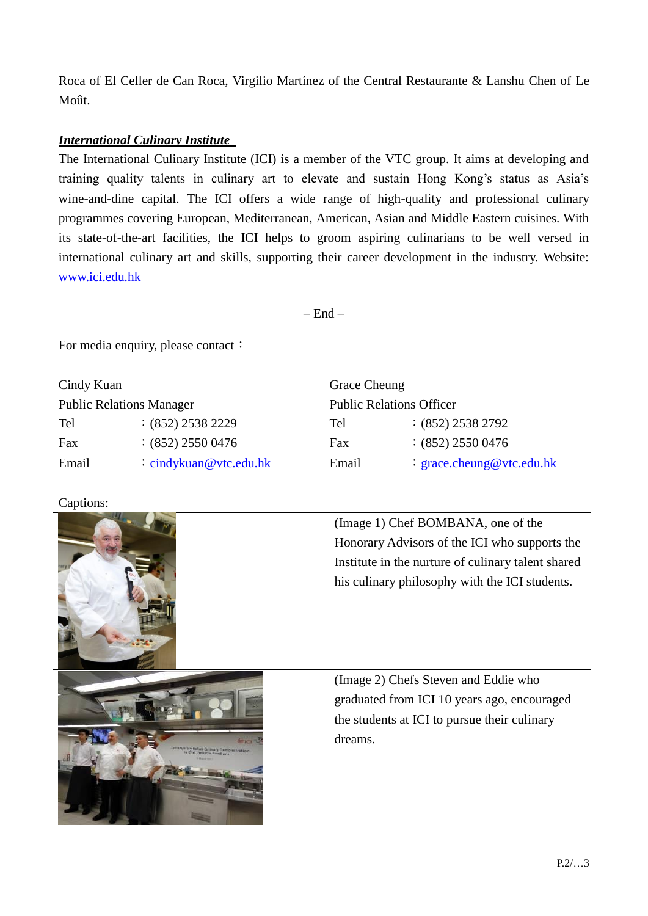Roca of El Celler de Can Roca, Virgilio Martínez of the Central Restaurante & Lanshu Chen of Le Moût.

## *International Culinary Institute*

The International Culinary Institute (ICI) is a member of the VTC group. It aims at developing and training quality talents in culinary art to elevate and sustain Hong Kong's status as Asia's wine-and-dine capital. The ICI offers a wide range of high-quality and professional culinary programmes covering European, Mediterranean, American, Asian and Middle Eastern cuisines. With its state-of-the-art facilities, the ICI helps to groom aspiring culinarians to be well versed in international culinary art and skills, supporting their career development in the industry. Website: www.ici.edu.hk

 $-$  End  $-$ 

For media enquiry, please contact:

| Cindy Kuan                      |                          | <b>Grace Cheung</b>             |                           |
|---------------------------------|--------------------------|---------------------------------|---------------------------|
| <b>Public Relations Manager</b> |                          | <b>Public Relations Officer</b> |                           |
| Tel                             | $:(852)$ 2538 2229       | Tel                             | $:(852)$ 2538 2792        |
| Fax                             | $(852)$ 2550 0476        | Fax                             | $(852)$ 2550 0476         |
| Email                           | $:$ cindykuan@vtc.edu.hk | Email                           | : grace.cheung@vtc.edu.hk |

Captions:

| (Image 1) Chef BOMBANA, one of the<br>Honorary Advisors of the ICI who supports the<br>Institute in the nurture of culinary talent shared<br>his culinary philosophy with the ICI students. |
|---------------------------------------------------------------------------------------------------------------------------------------------------------------------------------------------|
| (Image 2) Chefs Steven and Eddie who<br>graduated from ICI 10 years ago, encouraged<br>the students at ICI to pursue their culinary<br>dreams.                                              |